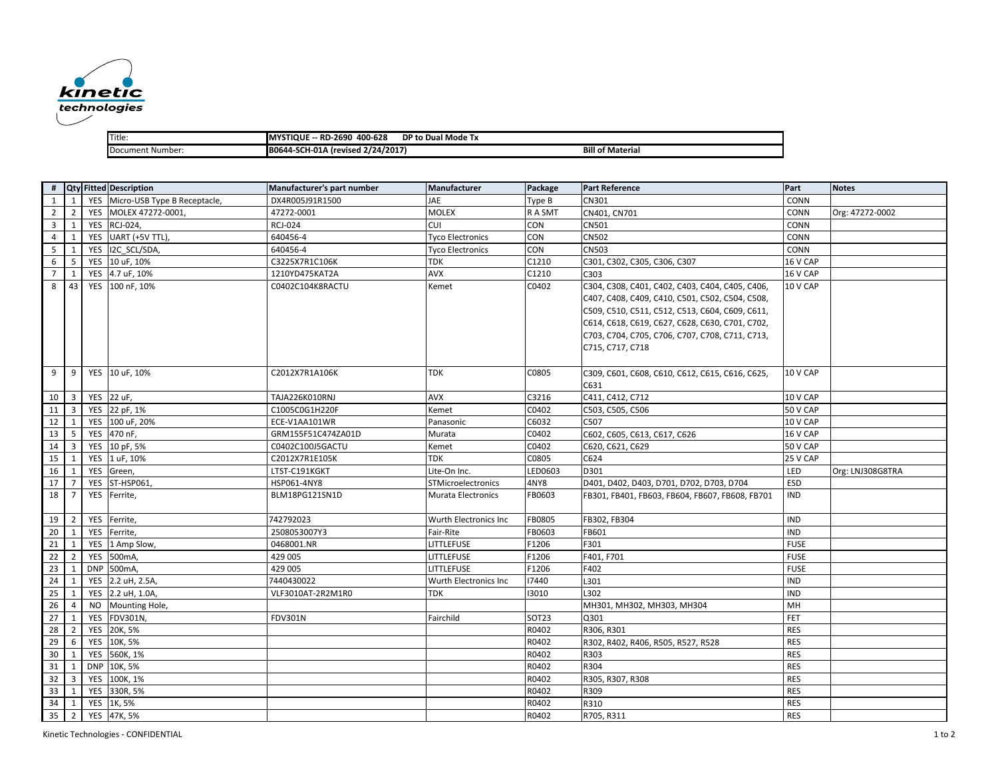

| Title:           | 400-628<br>-- RD-2690<br><b>'STIQUE</b><br>. MY' | DP to Dual Mode Tx      |
|------------------|--------------------------------------------------|-------------------------|
| Document Number: | A (revised 2/24/2017)<br><b>B0644-SCH-01A</b>    | <b>Bill of Material</b> |

|                         |                         |            | # Qty Fitted Description         | Manufacturer's part number | Manufacturer              | Package | <b>Part Reference</b>                           | Part        | <b>Notes</b>     |
|-------------------------|-------------------------|------------|----------------------------------|----------------------------|---------------------------|---------|-------------------------------------------------|-------------|------------------|
| 1                       | 1                       |            | YES Micro-USB Type B Receptacle, | DX4R005J91R1500            | JAE                       | Type B  | CN301                                           | CONN        |                  |
| $\overline{2}$          | $\overline{2}$          | YES        | MOLEX 47272-0001,                | 47272-0001                 | <b>MOLEX</b>              | R A SMT | CN401, CN701                                    | CONN        | Org: 47272-0002  |
| $\overline{\mathbf{3}}$ | $\mathbf{1}$            |            | YES RCJ-024,                     | RCJ-024                    | <b>CUI</b>                | CON     | CN501                                           | CONN        |                  |
| $\overline{4}$          | $\mathbf{1}$            |            | YES UART (+5V TTL),              | 640456-4                   | <b>Tyco Electronics</b>   | CON     | <b>CN502</b>                                    | CONN        |                  |
| 5                       | $\mathbf{1}$            | YES        | I2C SCL/SDA,                     | 640456-4                   | <b>Tyco Electronics</b>   | CON     | CN503                                           | CONN        |                  |
| 6                       | 5                       |            | YES 10 uF, 10%                   | C3225X7R1C106K             | <b>TDK</b>                | C1210   | C301, C302, C305, C306, C307                    | 16 V CAP    |                  |
| $\overline{7}$          | 1                       |            | YES 4.7 uF, 10%                  | 1210YD475KAT2A             | AVX                       | C1210   | C303                                            | 16 V CAP    |                  |
| 8                       | 43                      |            | YES 100 nF, 10%                  | C0402C104K8RACTU           | Kemet                     | C0402   | C304, C308, C401, C402, C403, C404, C405, C406, | 10 V CAP    |                  |
|                         |                         |            |                                  |                            |                           |         | C407, C408, C409, C410, C501, C502, C504, C508, |             |                  |
|                         |                         |            |                                  |                            |                           |         | C509, C510, C511, C512, C513, C604, C609, C611, |             |                  |
|                         |                         |            |                                  |                            |                           |         | C614, C618, C619, C627, C628, C630, C701, C702, |             |                  |
|                         |                         |            |                                  |                            |                           |         | C703, C704, C705, C706, C707, C708, C711, C713, |             |                  |
|                         |                         |            |                                  |                            |                           |         | C715, C717, C718                                |             |                  |
|                         |                         |            |                                  |                            |                           |         |                                                 |             |                  |
| 9                       | 9                       |            | YES 10 uF, 10%                   | C2012X7R1A106K             | TDK                       | C0805   | C309, C601, C608, C610, C612, C615, C616, C625, | 10 V CAP    |                  |
|                         |                         |            |                                  |                            |                           |         | C631                                            |             |                  |
| 10                      | $\overline{\mathbf{3}}$ |            | YES 22 uF,                       | TAJA226K010RNJ             | <b>AVX</b>                | C3216   | C411, C412, C712                                | 10 V CAP    |                  |
| 11                      | $\overline{3}$          | YES        | 22 pF, 1%                        | C1005C0G1H220F             | Kemet                     | C0402   | C503, C505, C506                                | 50 V CAP    |                  |
| 12                      | 1                       | YES        | 100 uF, 20%                      | ECE-V1AA101WR              | Panasonic                 | C6032   | C507                                            | 10 V CAP    |                  |
| 13                      | 5                       |            | YES 470 nF,                      | GRM155F51C474ZA01D         | Murata                    | C0402   | C602, C605, C613, C617, C626                    | 16 V CAP    |                  |
| 14                      | $\overline{\mathbf{3}}$ | YES        | 10 pF, 5%                        | C0402C100J5GACTU           | Kemet                     | C0402   | C620, C621, C629                                | 50 V CAP    |                  |
| 15                      | 1                       | YES        | 1 uF, 10%                        | C2012X7R1E105K             | <b>TDK</b>                | C0805   | C624                                            | 25 V CAP    |                  |
| 16                      | 1                       | YES        | Green,                           | LTST-C191KGKT              | Lite-On Inc.              | LED0603 | D301                                            | LED         | Org: LNJ308G8TRA |
| 17                      | $\overline{7}$          | YES        | ST-HSP061,                       | HSP061-4NY8                | STMicroelectronics        | 4NY8    | D401, D402, D403, D701, D702, D703, D704        | ESD         |                  |
| 18                      | $\overline{7}$          | YES        | Ferrite,                         | BLM18PG121SN1D             | <b>Murata Electronics</b> | FB0603  | FB301, FB401, FB603, FB604, FB607, FB608, FB701 | <b>IND</b>  |                  |
|                         |                         |            |                                  |                            |                           |         |                                                 |             |                  |
| 19                      | $\overline{2}$          | YES        | Ferrite,                         | 742792023                  | Wurth Electronics Inc     | FB0805  | FB302, FB304                                    | <b>IND</b>  |                  |
| 20                      | 1                       | YES        | Ferrite,                         | 2508053007Y3               | Fair-Rite                 | FB0603  | FB601                                           | <b>IND</b>  |                  |
| 21                      | 1                       | YES        | 1 Amp Slow,                      | 0468001.NR                 | <b>LITTLEFUSE</b>         | F1206   | F301                                            | <b>FUSE</b> |                  |
| 22                      | $\overline{2}$          | YES        | 500mA,                           | 429 005                    | LITTLEFUSE                | F1206   | F401, F701                                      | <b>FUSE</b> |                  |
| 23                      | 1                       | <b>DNP</b> | 500mA,                           | 429 005                    | <b>LITTLEFUSE</b>         | F1206   | F402                                            | <b>FUSE</b> |                  |
| 24                      | 1                       | YES        | 2.2 uH, 2.5A,                    | 7440430022                 | Wurth Electronics Inc     | 17440   | L301                                            | <b>IND</b>  |                  |
| 25                      | $\mathbf{1}$            | YES        | 2.2 uH, 1.0A,                    | VLF3010AT-2R2M1R0          | <b>TDK</b>                | 13010   | L302                                            | <b>IND</b>  |                  |
| 26                      | $\overline{4}$          | <b>NO</b>  | Mounting Hole,                   |                            |                           |         | MH301, MH302, MH303, MH304                      | MH          |                  |
| 27                      | 1                       | YES        | FDV301N,                         | <b>FDV301N</b>             | Fairchild                 | SOT23   | Q301                                            | FET         |                  |
| 28                      | $\overline{2}$          | YES        | 20K, 5%                          |                            |                           | R0402   | R306, R301                                      | <b>RES</b>  |                  |
| 29                      | 6                       | YES        | 10K, 5%                          |                            |                           | R0402   | R302, R402, R406, R505, R527, R528              | <b>RES</b>  |                  |
| 30                      | 1                       | YES        | 560K, 1%                         |                            |                           | R0402   | R303                                            | <b>RES</b>  |                  |
| 31                      | 1                       | <b>DNP</b> | 10K, 5%                          |                            |                           | R0402   | R304                                            | <b>RES</b>  |                  |
| 32                      | $\overline{3}$          | YES        | 100K, 1%                         |                            |                           | R0402   | R305, R307, R308                                | <b>RES</b>  |                  |
| 33                      | 1                       | YES        | 330R, 5%                         |                            |                           | R0402   | R309                                            | <b>RES</b>  |                  |
| 34                      | 1                       |            | YES 1K, 5%                       |                            |                           | R0402   | R310                                            | <b>RES</b>  |                  |
| 35                      | $\overline{2}$          |            | YES 47K, 5%                      |                            |                           | R0402   | R705, R311                                      | <b>RES</b>  |                  |